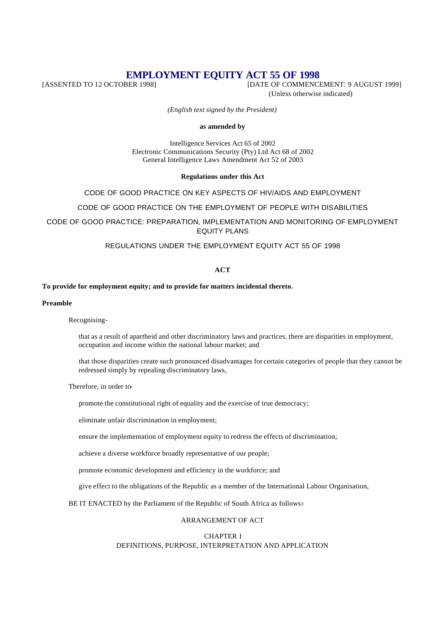# **EMPLOYMENT EQUITY ACT 55 OF 1998**<br>[DATE OF COMMENCI

[DATE OF COMMENCEMENT: 9 AUGUST 1999] (Unless otherwise indicated)

*(English text signed by the President)*

#### **as amended by**

Intelligence Services Act 65 of 2002 Electronic Communications Security (Pty) Ltd Act 68 of 2002 General Intelligence Laws Amendment Act 52 of 2003

# **Regulations under this Act**

CODE OF GOOD PRACTICE ON KEY ASPECTS OF HIV/AIDS AND EMPLOYMENT

CODE OF GOOD PRACTICE ON THE EMPLOYMENT OF PEOPLE WITH DISABILITIES

CODE OF GOOD PRACTICE: PREPARATION, IMPLEMENTATION AND MONITORING OF EMPLOYMENT EQUITY PLANS

REGULATIONS UNDER THE EMPLOYMENT EQUITY ACT 55 OF 1998

# **ACT**

# **To provide for employment equity; and to provide for matters incidental thereto.**

**Preamble**

Recognising-

that as a result of apartheid and other discriminatory laws and practices, there are disparities in employment, occupation and income within the national labour market; and

that those disparities create such pronounced disadvantages for certain categories of people that they cannot be redressed simply by repealing discriminatory laws,

Therefore, in order to-

promote the constitutional right of equality and the exercise of true democracy;

eliminate unfair discrimination in employment;

ensure the implementation of employment equity to redress the effects of discrimination;

achieve a diverse workforce broadly representative of our people;

promote economic development and efficiency in the workforce; and

give effect to the obligations of the Republic as a member of the International Labour Organisation,

BE IT ENACTED by the Parliament of the Republic of South Africa as follows:-

# ARRANGEMENT OF ACT

# CHAPTER I DEFINITIONS, PURPOSE, INTERPRETATION AND APPLICATION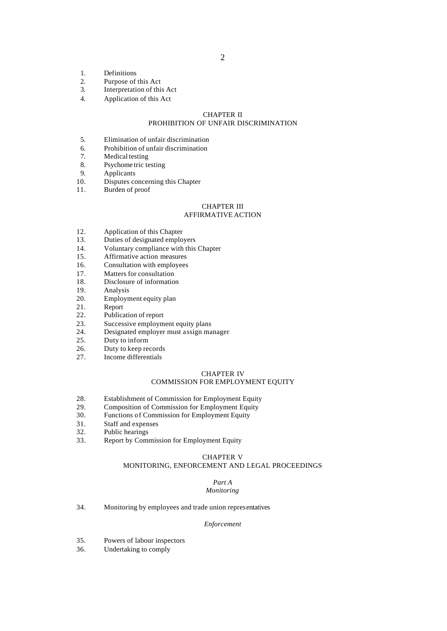- 1. Definitions
- 2. Purpose of this Act<br>3. Interpretation of thi
- Interpretation of this Act
- 4. Application of this Act

# CHAPTER II

# PROHIBITION OF UNFAIR DISCRIMINATION

- 5. Elimination of unfair discrimination
- 6. Prohibition of unfair discrimination<br>7. Medical testing
- Medical testing
- 8. Psychome tric testing
- 9. Applicants
- 10. Disputes concerning this Chapter
- 11. Burden of proof

#### CHAPTER III AFFIRMATIVE ACTION

- 12. Application of this Chapter
- 13. Duties of designated employers
- 14. Voluntary compliance with this Chapter
- 15. Affirmative action measures
- 16. Consultation with employees
- 
- 17. Matters for consultation<br>18. Disclosure of information Disclosure of information
- 19. Analysis
- 20. Employment equity plan
- 21. Report<br>22. Publica
- Publication of report
- 23. Successive employment equity plans<br>24. Designated employer must assign ma
- 24. Designated employer must assign manager<br>25. Duty to inform
- Duty to inform
- 26. Duty to keep records
- 27. Income differentials

#### CHAPTER IV

# COMMISSION FOR EMPLOYMENT EQUITY

- 28. Establishment of Commission for Employment Equity<br>29. Composition of Commission for Employment Equity
- 29. Composition of Commission for Employment Equity<br>30. Functions of Commission for Employment Equity
- Functions of Commission for Employment Equity
- 31. Staff and expenses<br>32. Public hearings
- 32. Public hearings<br>33 Report by Company
- 33. Report by Commission for Employment Equity

#### CHAPTER V

# MONITORING, ENFORCEMENT AND LEGAL PROCEEDINGS

#### *Part A Monitoring*

34. Monitoring by employees and trade union representatives

#### *Enforcement*

- 35. Powers of labour inspectors
- 36. Undertaking to comply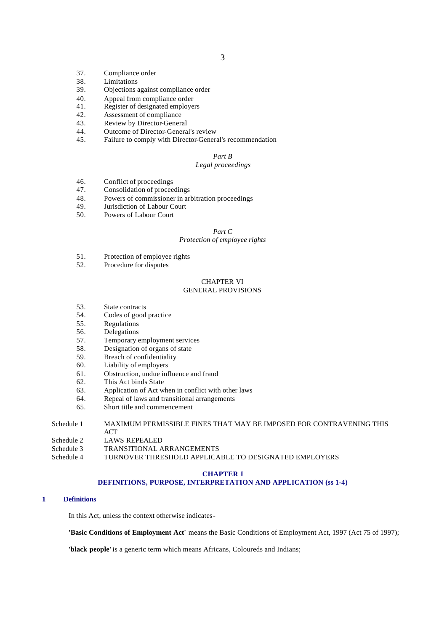- 37. Compliance order
- 38. Limitations<br>39. Objections a
- Objections against compliance order
- 40. Appeal from compliance order
- 41. Register of designated employers
- 42. Assessment of compliance
- 43. Review by Director-General
- 44. Outcome of Director-General's review<br>45. Failure to comply with Director-Gener
- Failure to comply with Director-General's recommendation

# *Part B*

# *Legal proceedings*

- 46. Conflict of proceedings
- 47. Consolidation of proceedings
- 48. Powers of commissioner in arbitration proceedings
- 49. Jurisdiction of Labour Court
- 50. Powers of Labour Court

#### *Part C*

# *Protection of employee rights*

- 51. Protection of employee rights
- 52. Procedure for disputes

# CHAPTER VI

# GENERAL PROVISIONS

- 53. State contracts
- 54. Codes of good practice
- 55. Regulations
- 56. Delegations
- 57. Temporary employment services
- 58. Designation of organs of state
- 59. Breach of confidentiality<br>60. Liability of employers
- Liability of employers
- 61. Obstruction, undue influence and fraud
- 62. This Act binds State
- 63. Application of Act when in conflict with other laws
- 64. Repeal of laws and transitional arrangements
- 65. Short title and commencement

# Schedule 1 MAXIMUM PERMISSIBLE FINES THAT MAY BE IMPOSED FOR CONTRAVENING THIS ACT

- Schedule 2 LAWS REPEALED
- Schedule 3 TRANSITIONAL ARRANGEMENTS
- Schedule 4 TURNOVER THRESHOLD APPLICABLE TO DESIGNATED EMPLOYERS

#### **CHAPTER I**

# **DEFINITIONS, PURPOSE, INTERPRETATION AND APPLICATION (ss 1-4)**

#### **1 Definitions**

In this Act, unless the context otherwise indicates-

**'Basic Conditions of Employment Act'** means the Basic Conditions of Employment Act, 1997 (Act 75 of 1997);

**'black people'** is a generic term which means Africans, Coloureds and Indians;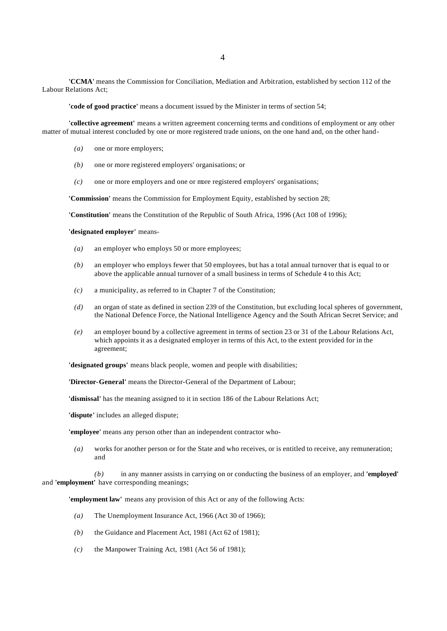**'CCMA'** means the Commission for Conciliation, Mediation and Arbitration, established by section 112 of the Labour Relations Act;

**'code of good practice'** means a document issued by the Minister in terms of section 54;

**'collective agreement'** means a written agreement concerning terms and conditions of employment or any other matter of mutual interest concluded by one or more registered trade unions, on the one hand and, on the other hand-

- *(a)* one or more employers;
- *(b)* one or more registered employers' organisations; or
- *(c)* one or more employers and one or more registered employers' organisations;

**'Commission'** means the Commission for Employment Equity, established by section 28;

**'Constitution'** means the Constitution of the Republic of South Africa, 1996 (Act 108 of 1996);

**'designated employer'** means-

- *(a)* an employer who employs 50 or more employees;
- *(b)* an employer who employs fewer that 50 employees, but has a total annual turnover that is equal to or above the applicable annual turnover of a small business in terms of Schedule 4 to this Act;
- *(c)* a municipality, as referred to in Chapter 7 of the Constitution;
- *(d)* an organ of state as defined in section 239 of the Constitution, but excluding local spheres of government, the National Defence Force, the National Intelligence Agency and the South African Secret Service; and
- *(e)* an employer bound by a collective agreement in terms of section 23 or 31 of the Labour Relations Act, which appoints it as a designated employer in terms of this Act, to the extent provided for in the agreement;

**'designated groups'** means black people, women and people with disabilities;

**'Director-General'** means the Director-General of the Department of Labour;

**'dismissal'** has the meaning assigned to it in section 186 of the Labour Relations Act;

**'dispute'** includes an alleged dispute;

**'employee'** means any person other than an independent contractor who-

*(a)* works for another person or for the State and who receives, or is entitled to receive, any remuneration; and

*(b)* in any manner assists in carrying on or conducting the business of an employer, and **'employed'** and **'employment'** have corresponding meanings;

**'employment law'** means any provision of this Act or any of the following Acts:

- *(a)* The Unemployment Insurance Act, 1966 (Act 30 of 1966);
- *(b)* the Guidance and Placement Act, 1981 (Act 62 of 1981);
- *(c)* the Manpower Training Act, 1981 (Act 56 of 1981);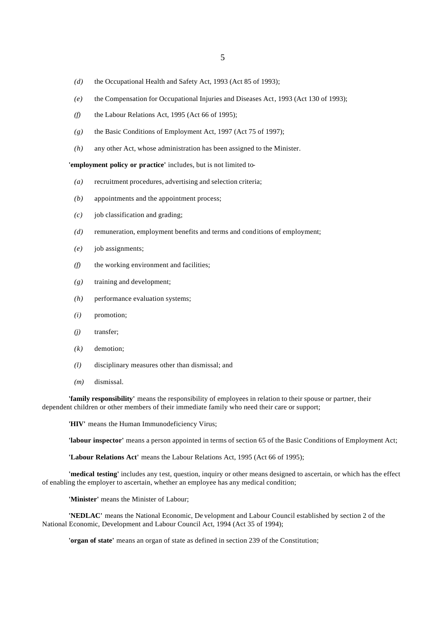- *(d)* the Occupational Health and Safety Act, 1993 (Act 85 of 1993);
- *(e)* the Compensation for Occupational Injuries and Diseases Act, 1993 (Act 130 of 1993);
- *(f)* the Labour Relations Act, 1995 (Act 66 of 1995);
- *(g)* the Basic Conditions of Employment Act, 1997 (Act 75 of 1997);
- *(h)* any other Act, whose administration has been assigned to the Minister.

**'employment policy or practice'** includes, but is not limited to-

- *(a)* recruitment procedures, advertising and selection criteria;
- *(b)* appointments and the appointment process;
- *(c)* job classification and grading;
- *(d)* remuneration, employment benefits and terms and conditions of employment;
- *(e)* job assignments;
- *(f)* the working environment and facilities;
- *(g)* training and development;
- *(h)* performance evaluation systems;
- *(i)* promotion;
- *(j)* transfer;
- *(k)* demotion;
- *(l)* disciplinary measures other than dismissal; and
- *(m)* dismissal.

**'family responsibility'** means the responsibility of employees in relation to their spouse or partner, their dependent children or other members of their immediate family who need their care or support;

**'HIV'** means the Human Immunodeficiency Virus;

**'labour inspector'** means a person appointed in terms of section 65 of the Basic Conditions of Employment Act;

**'Labour Relations Act'** means the Labour Relations Act, 1995 (Act 66 of 1995);

**'medical testing'** includes any test, question, inquiry or other means designed to ascertain, or which has the effect of enabling the employer to ascertain, whether an employee has any medical condition;

**'Minister'** means the Minister of Labour;

**'NEDLAC'** means the National Economic, De velopment and Labour Council established by section 2 of the National Economic, Development and Labour Council Act, 1994 (Act 35 of 1994);

**'organ of state'** means an organ of state as defined in section 239 of the Constitution;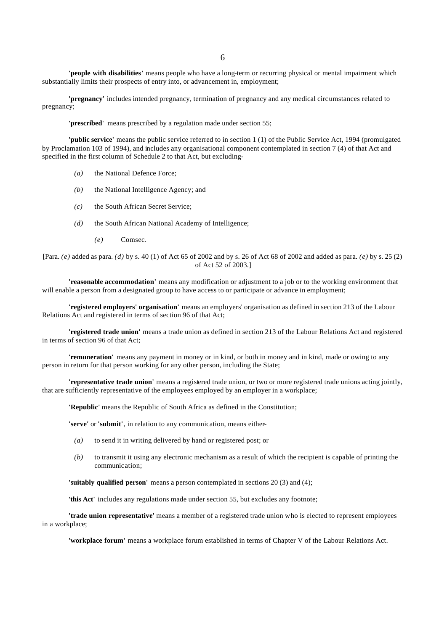6

**'people with disabilities'** means people who have a long-term or recurring physical or mental impairment which substantially limits their prospects of entry into, or advancement in, employment;

**'pregnancy'** includes intended pregnancy, termination of pregnancy and any medical circumstances related to pregnancy;

**'prescribed'** means prescribed by a regulation made under section 55;

**'public service'** means the public service referred to in section 1 (1) of the Public Service Act, 1994 (promulgated by Proclamation 103 of 1994), and includes any organisational component contemplated in section 7 (4) of that Act and specified in the first column of Schedule 2 to that Act, but excluding-

- *(a)* the National Defence Force;
- *(b)* the National Intelligence Agency; and
- *(c)* the South African Secret Service;
- *(d)* the South African National Academy of Intelligence;
	- *(e)* Comsec.

[Para. *(e)* added as para. *(d)* by s. 40 (1) of Act 65 of 2002 and by s. 26 of Act 68 of 2002 and added as para. *(e)* by s. 25 (2) of Act 52 of 2003.]

**'reasonable accommodation'** means any modification or adjustment to a job or to the working environment that will enable a person from a designated group to have access to or participate or advance in employment;

**'registered employers' organisation'** means an employers' organisation as defined in section 213 of the Labour Relations Act and registered in terms of section 96 of that Act;

**'registered trade union'** means a trade union as defined in section 213 of the Labour Relations Act and registered in terms of section 96 of that Act;

**'remuneration'** means any payment in money or in kind, or both in money and in kind, made or owing to any person in return for that person working for any other person, including the State;

**'representative trade union'** means a registered trade union, or two or more registered trade unions acting jointly, that are sufficiently representative of the employees employed by an employer in a workplace;

**'Republic'** means the Republic of South Africa as defined in the Constitution;

**'serve'** or **'submit'**, in relation to any communication, means either-

- *(a)* to send it in writing delivered by hand or registered post; or
- *(b)* to transmit it using any electronic mechanism as a result of which the recipient is capable of printing the communication;

**'suitably qualified person'** means a person contemplated in sections 20 (3) and (4);

**'this Act'** includes any regulations made under section 55, but excludes any footnote;

**'trade union representative'** means a member of a registered trade union who is elected to represent employees in a workplace;

**'workplace forum'** means a workplace forum established in terms of Chapter V of the Labour Relations Act.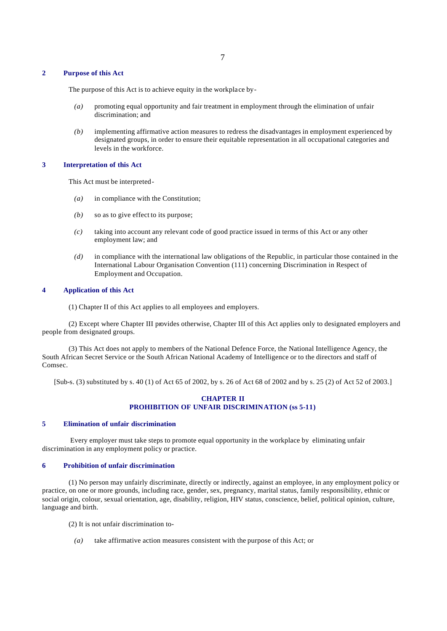#### **2 Purpose of this Act**

The purpose of this Act is to achieve equity in the workplace by-

- *(a)* promoting equal opportunity and fair treatment in employment through the elimination of unfair discrimination; and
- *(b)* implementing affirmative action measures to redress the disadvantages in employment experienced by designated groups, in order to ensure their equitable representation in all occupational categories and levels in the workforce.

# **3 Interpretation of this Act**

This Act must be interpreted-

- *(a)* in compliance with the Constitution;
- *(b)* so as to give effect to its purpose;
- *(c)* taking into account any relevant code of good practice issued in terms of this Act or any other employment law; and
- *(d)* in compliance with the international law obligations of the Republic, in particular those contained in the International Labour Organisation Convention (111) concerning Discrimination in Respect of Employment and Occupation.

#### **4 Application of this Act**

(1) Chapter II of this Act applies to all employees and employers.

(2) Except where Chapter III provides otherwise, Chapter III of this Act applies only to designated employers and people from designated groups.

(3) This Act does not apply to members of the National Defence Force, the National Intelligence Agency, the South African Secret Service or the South African National Academy of Intelligence or to the directors and staff of Comsec.

[Sub-s. (3) substituted by s. 40 (1) of Act 65 of 2002, by s. 26 of Act 68 of 2002 and by s. 25 (2) of Act 52 of 2003.]

# **CHAPTER II PROHIBITION OF UNFAIR DISCRIMINATION (ss 5-11)**

#### **5 Elimination of unfair discrimination**

 Every employer must take steps to promote equal opportunity in the workplace by eliminating unfair discrimination in any employment policy or practice.

# **6 Prohibition of unfair discrimination**

(1) No person may unfairly discriminate, directly or indirectly, against an employee, in any employment policy or practice, on one or more grounds, including race, gender, sex, pregnancy, marital status, family responsibility, ethnic or social origin, colour, sexual orientation, age, disability, religion, HIV status, conscience, belief, political opinion, culture, language and birth.

(2) It is not unfair discrimination to-

*(a)* take affirmative action measures consistent with the purpose of this Act; or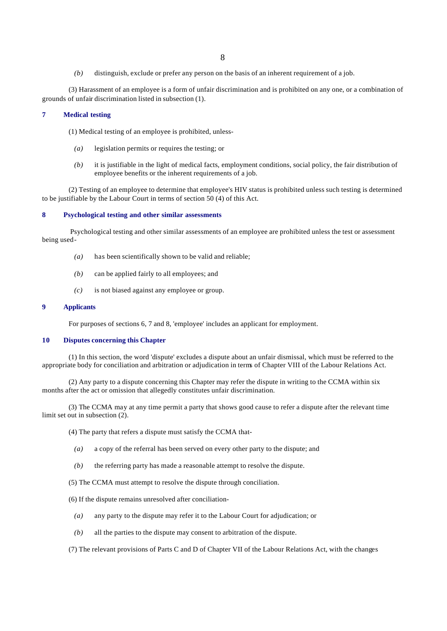*(b)* distinguish, exclude or prefer any person on the basis of an inherent requirement of a job.

(3) Harassment of an employee is a form of unfair discrimination and is prohibited on any one, or a combination of grounds of unfair discrimination listed in subsection (1).

## **7 Medical testing**

(1) Medical testing of an employee is prohibited, unless-

- *(a)* legislation permits or requires the testing; or
- *(b)* it is justifiable in the light of medical facts, employment conditions, social policy, the fair distribution of employee benefits or the inherent requirements of a job.

(2) Testing of an employee to determine that employee's HIV status is prohibited unless such testing is determined to be justifiable by the Labour Court in terms of section 50 (4) of this Act.

# **8 Psychological testing and other similar assessments**

 Psychological testing and other similar assessments of an employee are prohibited unless the test or assessment being used-

- *(a)* has been scientifically shown to be valid and reliable;
- *(b)* can be applied fairly to all employees; and
- *(c)* is not biased against any employee or group.

#### **9 Applicants**

For purposes of sections 6, 7 and 8, 'employee' includes an applicant for employment.

# **10 Disputes concerning this Chapter**

(1) In this section, the word 'dispute' excludes a dispute about an unfair dismissal, which must be referred to the appropriate body for conciliation and arbitration or adjudication in terms of Chapter VIII of the Labour Relations Act.

(2) Any party to a dispute concerning this Chapter may refer the dispute in writing to the CCMA within six months after the act or omission that allegedly constitutes unfair discrimination.

(3) The CCMA may at any time permit a party that shows good cause to refer a dispute after the relevant time limit set out in subsection (2).

(4) The party that refers a dispute must satisfy the CCMA that-

- *(a)* a copy of the referral has been served on every other party to the dispute; and
- *(b)* the referring party has made a reasonable attempt to resolve the dispute.
- (5) The CCMA must attempt to resolve the dispute through conciliation.

(6) If the dispute remains unresolved after conciliation-

- *(a)* any party to the dispute may refer it to the Labour Court for adjudication; or
- *(b)* all the parties to the dispute may consent to arbitration of the dispute.

(7) The relevant provisions of Parts C and D of Chapter VII of the Labour Relations Act, with the changes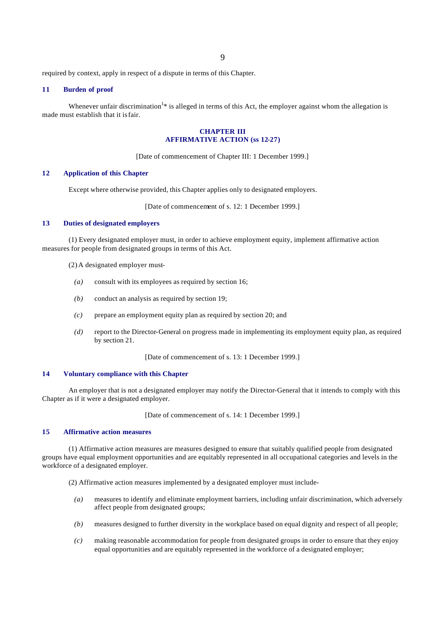required by context, apply in respect of a dispute in terms of this Chapter.

#### **11 Burden of proof**

Whenever unfair discrimination<sup>1\*</sup> is alleged in terms of this Act, the employer against whom the allegation is made must establish that it is fair.

#### **CHAPTER III AFFIRMATIVE ACTION (ss 12-27)**

[Date of commencement of Chapter III: 1 December 1999.]

# **12 Application of this Chapter**

Except where otherwise provided, this Chapter applies only to designated employers.

[Date of commencement of s. 12: 1 December 1999.]

# **13 Duties of designated employers**

(1) Every designated employer must, in order to achieve employment equity, implement affirmative action measures for people from designated groups in terms of this Act.

(2) A designated employer must-

- *(a)* consult with its employees as required by section 16;
- *(b)* conduct an analysis as required by section 19;
- *(c)* prepare an employment equity plan as required by section 20; and
- *(d)* report to the Director-General on progress made in implementing its employment equity plan, as required by section 21.

[Date of commencement of s. 13: 1 December 1999.]

#### **14 Voluntary compliance with this Chapter**

An employer that is not a designated employer may notify the Director-General that it intends to comply with this Chapter as if it were a designated employer.

[Date of commencement of s. 14: 1 December 1999.]

# **15 Affirmative action measures**

(1) Affirmative action measures are measures designed to ensure that suitably qualified people from designated groups have equal employment opportunities and are equitably represented in all occupational categories and levels in the workforce of a designated employer.

(2) Affirmative action measures implemented by a designated employer must include-

- *(a)* measures to identify and eliminate employment barriers, including unfair discrimination, which adversely affect people from designated groups;
- *(b)* measures designed to further diversity in the workplace based on equal dignity and respect of all people;
- *(c)* making reasonable accommodation for people from designated groups in order to ensure that they enjoy equal opportunities and are equitably represented in the workforce of a designated employer;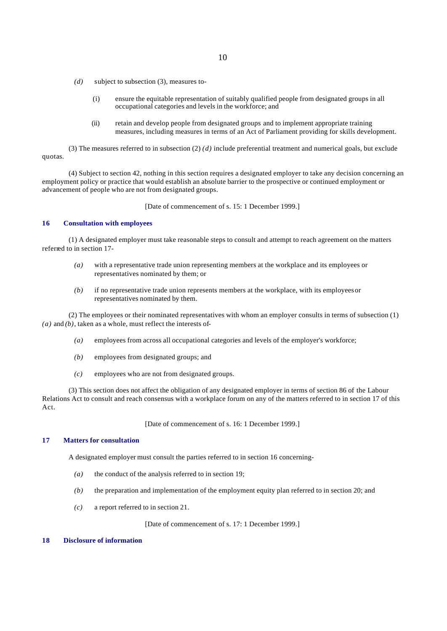- *(d)* subject to subsection (3), measures to-
	- (i) ensure the equitable representation of suitably qualified people from designated groups in all occupational categories and levels in the workforce; and
	- (ii) retain and develop people from designated groups and to implement appropriate training measures, including measures in terms of an Act of Parliament providing for skills development.

(3) The measures referred to in subsection  $(2)$  *(d)* include preferential treatment and numerical goals, but exclude quotas.

(4) Subject to section 42, nothing in this section requires a designated employer to take any decision concerning an employment policy or practice that would establish an absolute barrier to the prospective or continued employment or advancement of people who are not from designated groups.

[Date of commencement of s. 15: 1 December 1999.]

# **16 Consultation with employees**

(1) A designated employer must take reasonable steps to consult and attempt to reach agreement on the matters referred to in section 17-

- *(a)* with a representative trade union representing members at the workplace and its employees or representatives nominated by them; or
- *(b)* if no representative trade union represents members at the workplace, with its employees or representatives nominated by them.

(2) The employees or their nominated representatives with whom an employer consults in terms of subsection (1) *(a)* and *(b)*, taken as a whole, must reflect the interests of-

- *(a)* employees from across all occupational categories and levels of the employer's workforce;
- *(b)* employees from designated groups; and
- *(c)* employees who are not from designated groups.

(3) This section does not affect the obligation of any designated employer in terms of section 86 of the Labour Relations Act to consult and reach consensus with a workplace forum on any of the matters referred to in section 17 of this Act.

[Date of commencement of s. 16: 1 December 1999.]

# **17 Matters for consultation**

A designated employer must consult the parties referred to in section 16 concerning-

- *(a)* the conduct of the analysis referred to in section 19;
- *(b)* the preparation and implementation of the employment equity plan referred to in section 20; and
- *(c)* a report referred to in section 21.

[Date of commencement of s. 17: 1 December 1999.]

#### **18 Disclosure of information**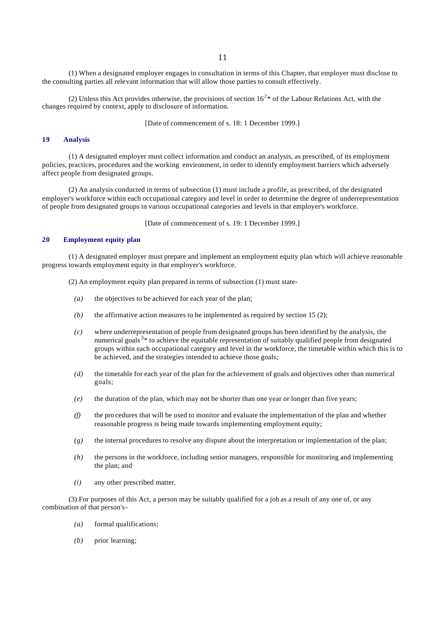(1) When a designated employer engages in consultation in terms of this Chapter, that employer must disclose to the consulting parties all relevant information that will allow those parties to consult effectively.

(2) Unless this Act provides otherwise, the provisions of section  $16^{2*}$  of the Labour Relations Act, with the changes required by context, apply to disclosure of information.

[Date of commencement of s. 18: 1 December 1999.]

#### **19 Analysis**

(1) A designated employer must collect information and conduct an analysis, as prescribed, of its employment policies, practices, procedures and the working environment, in order to identify employment barriers which adversely affect people from designated groups.

(2) An analysis conducted in terms of subsection (1) must include a profile, as prescribed, of the designated employer's workforce within each occupational category and level in order to determine the degree of underrepresentation of people from designated groups in various occupational categories and levels in that employer's workforce.

[Date of commencement of s. 19: 1 December 1999.]

#### **20 Employment equity plan**

(1) A designated employer must prepare and implement an employment equity plan which will achieve reasonable progress towards employment equity in that employer's workforce.

(2) An employment equity plan prepared in terms of subsection (1) must state-

- *(a)* the objectives to be achieved for each year of the plan;
- *(b)* the affirmative action measures to be implemented as required by section 15 (2);
- *(c)* where underrepresentation of people from designated groups has been identified by the analysis, the numerical goals<sup>3\*</sup> to achieve the equitable representation of suitably qualified people from designated groups within each occupational category and level in the workforce, the timetable within which this is to be achieved, and the strategies intended to achieve those goals;
- *(d)* the timetable for each year of the plan for the achievement of goals and objectives other than numerical goals;
- *(e)* the duration of the plan, which may not be shorter than one year or longer than five years;
- *(f)* the pro cedures that will be used to monitor and evaluate the implementation of the plan and whether reasonable progress is being made towards implementing employment equity;
- *(g)* the internal procedures to resolve any dispute about the interpretation or implementation of the plan;
- *(h)* the persons in the workforce, including senior managers, responsible for monitoring and implementing the plan; and
- *(i)* any other prescribed matter.

(3) For purposes of this Act, a person may be suitably qualified for a job as a result of any one of, or any combination of that person's-

- *(a)* formal qualifications;
- *(b)* prior learning;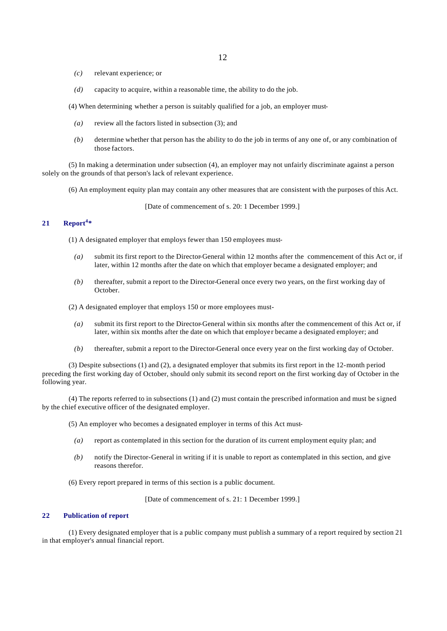- *(c)* relevant experience; or
- *(d)* capacity to acquire, within a reasonable time, the ability to do the job.

(4) When determining whether a person is suitably qualified for a job, an employer must-

- *(a)* review all the factors listed in subsection (3); and
- *(b)* determine whether that person has the ability to do the job in terms of any one of, or any combination of those factors.

(5) In making a determination under subsection (4), an employer may not unfairly discriminate against a person solely on the grounds of that person's lack of relevant experience.

(6) An employment equity plan may contain any other measures that are consistent with the purposes of this Act.

[Date of commencement of s. 20: 1 December 1999.]

# **21 Report<sup>4</sup> \***

(1) A designated employer that employs fewer than 150 employees must-

- *(a)* submit its first report to the Director-General within 12 months after the commencement of this Act or, if later, within 12 months after the date on which that employer became a designated employer; and
- *(b)* thereafter, submit a report to the Director-General once every two years, on the first working day of October.

(2) A designated employer that employs 150 or more employees must-

- *(a)* submit its first report to the Director-General within six months after the commencement of this Act or, if later, within six months after the date on which that employer became a designated employer; and
- *(b)* thereafter, submit a report to the Director-General once every year on the first working day of October.

(3) Despite subsections (1) and (2), a designated employer that submits its first report in the 12-month period preceding the first working day of October, should only submit its second report on the first working day of October in the following year.

(4) The reports referred to in subsections (1) and (2) must contain the prescribed information and must be signed by the chief executive officer of the designated employer.

(5) An employer who becomes a designated employer in terms of this Act must-

- *(a)* report as contemplated in this section for the duration of its current employment equity plan; and
- *(b)* notify the Director-General in writing if it is unable to report as contemplated in this section, and give reasons therefor.
- (6) Every report prepared in terms of this section is a public document.

[Date of commencement of s. 21: 1 December 1999.]

# **22 Publication of report**

(1) Every designated employer that is a public company must publish a summary of a report required by section 21 in that employer's annual financial report.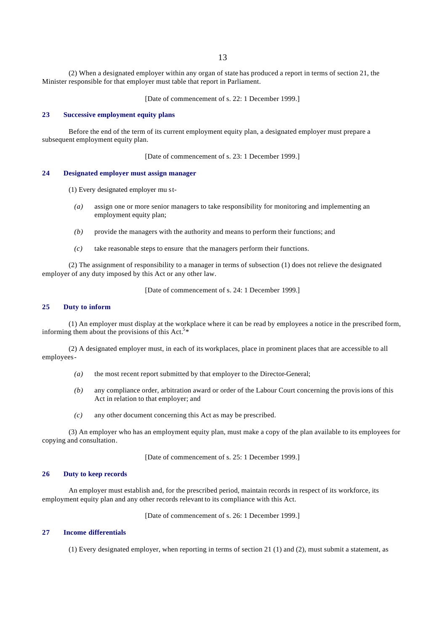13

(2) When a designated employer within any organ of state has produced a report in terms of section 21, the Minister responsible for that employer must table that report in Parliament.

[Date of commencement of s. 22: 1 December 1999.]

#### **23 Successive employment equity plans**

Before the end of the term of its current employment equity plan, a designated employer must prepare a subsequent employment equity plan.

[Date of commencement of s. 23: 1 December 1999.]

# **24 Designated employer must assign manager**

(1) Every designated employer mu st-

- *(a)* assign one or more senior managers to take responsibility for monitoring and implementing an employment equity plan;
- *(b)* provide the managers with the authority and means to perform their functions; and
- *(c)* take reasonable steps to ensure that the managers perform their functions.

(2) The assignment of responsibility to a manager in terms of subsection (1) does not relieve the designated employer of any duty imposed by this Act or any other law.

[Date of commencement of s. 24: 1 December 1999.]

# **25 Duty to inform**

(1) An employer must display at the workplace where it can be read by employees a notice in the prescribed form, informing them about the provisions of this Act.<sup>5\*</sup>

(2) A designated employer must, in each of its workplaces, place in prominent places that are accessible to all employees-

- *(a)* the most recent report submitted by that employer to the Director-General;
- *(b)* any compliance order, arbitration award or order of the Labour Court concerning the provisions of this Act in relation to that employer; and
- *(c)* any other document concerning this Act as may be prescribed.

(3) An employer who has an employment equity plan, must make a copy of the plan available to its employees for copying and consultation.

[Date of commencement of s. 25: 1 December 1999.]

#### **26 Duty to keep records**

An employer must establish and, for the prescribed period, maintain records in respect of its workforce, its employment equity plan and any other records relevant to its compliance with this Act.

[Date of commencement of s. 26: 1 December 1999.]

## **27 Income differentials**

(1) Every designated employer, when reporting in terms of section 21 (1) and (2), must submit a statement, as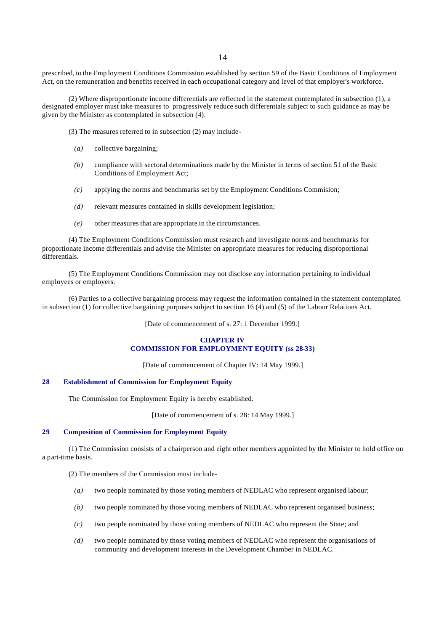prescribed, to the Emp loyment Conditions Commission established by section 59 of the Basic Conditions of Employment Act, on the remuneration and benefits received in each occupational category and level of that employer's workforce.

(2) Where disproportionate income differentials are reflected in the statement contemplated in subsection (1), a designated employer must take measures to progressively reduce such differentials subject to such guidance as may be given by the Minister as contemplated in subsection (4).

(3) The measures referred to in subsection (2) may include-

- *(a)* collective bargaining;
- *(b)* compliance with sectoral determinations made by the Minister in terms of section 51 of the Basic Conditions of Employment Act;
- *(c)* applying the norms and benchmarks set by the Employment Conditions Commision;
- *(d)* relevant measures contained in skills development legislation;
- *(e)* other measures that are appropriate in the circumstances.

(4) The Employment Conditions Commission must research and investigate norms and benchmarks for proportionate income differentials and advise the Minister on appropriate measures for reducing disproportional differentials.

(5) The Employment Conditions Commission may not disclose any information pertaining to individual employees or employers.

(6) Parties to a collective bargaining process may request the information contained in the statement contemplated in subsection (1) for collective bargaining purposes subject to section 16 (4) and (5) of the Labour Relations Act.

[Date of commencement of s. 27: 1 December 1999.]

#### **CHAPTER IV COMMISSION FOR EMPLOYMENT EQUITY (ss 28-33)**

[Date of commencement of Chapter IV: 14 May 1999.]

# **28 Establishment of Commission for Employment Equity**

The Commission for Employment Equity is hereby established.

[Date of commencement of s. 28: 14 May 1999.]

# **29 Composition of Commission for Employment Equity**

(1) The Commission consists of a chairperson and eight other members appointed by the Minister to hold office on a part-time basis.

(2) The members of the Commission must include-

- *(a)* two people nominated by those voting members of NEDLAC who represent organised labour;
- *(b)* two people nominated by those voting members of NEDLAC who represent organised business;
- *(c)* two people nominated by those voting members of NEDLAC who represent the State; and
- *(d)* two people nominated by those voting members of NEDLAC who represent the organisations of community and development interests in the Development Chamber in NEDLAC.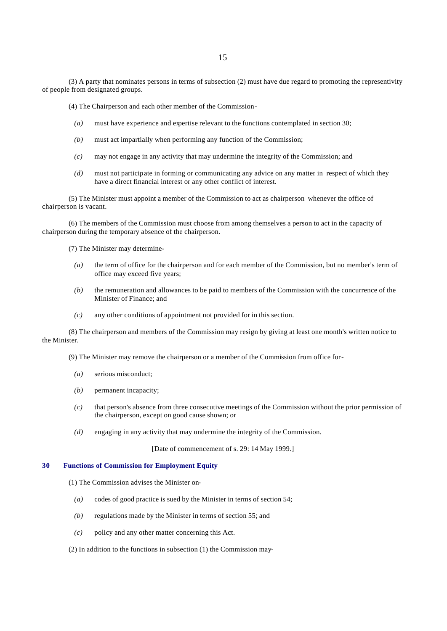(3) A party that nominates persons in terms of subsection (2) must have due regard to promoting the representivity of people from designated groups.

(4) The Chairperson and each other member of the Commission-

- *(a)* must have experience and expertise relevant to the functions contemplated in section 30;
- *(b)* must act impartially when performing any function of the Commission;
- *(c)* may not engage in any activity that may undermine the integrity of the Commission; and
- *(d)* must not participate in forming or communicating any advice on any matter in respect of which they have a direct financial interest or any other conflict of interest.

(5) The Minister must appoint a member of the Commission to act as chairperson whenever the office of chairperson is vacant.

(6) The members of the Commission must choose from among themselves a person to act in the capacity of chairperson during the temporary absence of the chairperson.

(7) The Minister may determine-

- *(a)* the term of office for the chairperson and for each member of the Commission, but no member's term of office may exceed five years;
- *(b)* the remuneration and allowances to be paid to members of the Commission with the concurrence of the Minister of Finance; and
- *(c)* any other conditions of appointment not provided for in this section.

(8) The chairperson and members of the Commission may resign by giving at least one month's written notice to the Minister.

(9) The Minister may remove the chairperson or a member of the Commission from office for-

- *(a)* serious misconduct;
- *(b)* permanent incapacity;
- *(c)* that person's absence from three consecutive meetings of the Commission without the prior permission of the chairperson, except on good cause shown; or
- *(d)* engaging in any activity that may undermine the integrity of the Commission.

[Date of commencement of s. 29: 14 May 1999.]

# **30 Functions of Commission for Employment Equity**

- (1) The Commission advises the Minister on-
	- *(a)* codes of good practice is sued by the Minister in terms of section 54;
	- *(b)* regulations made by the Minister in terms of section 55; and
	- *(c)* policy and any other matter concerning this Act.

(2) In addition to the functions in subsection (1) the Commission may-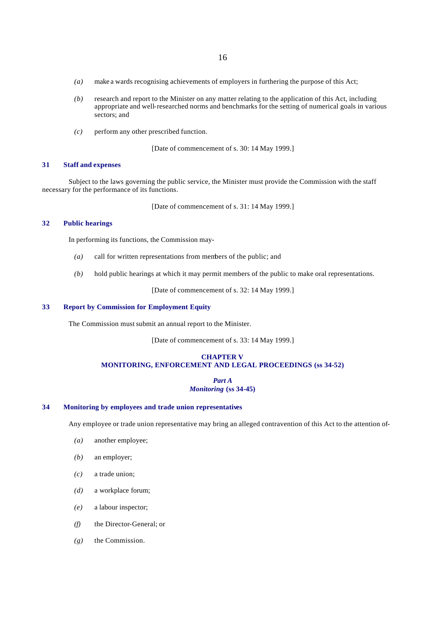- *(a)* make a wards recognising achievements of employers in furthering the purpose of this Act;
- *(b)* research and report to the Minister on any matter relating to the application of this Act, including appropriate and well-researched norms and benchmarks for the setting of numerical goals in various sectors; and
- *(c)* perform any other prescribed function.

[Date of commencement of s. 30: 14 May 1999.]

#### **31 Staff and expenses**

Subject to the laws governing the public service, the Minister must provide the Commission with the staff necessary for the performance of its functions.

[Date of commencement of s. 31: 14 May 1999.]

# **32 Public hearings**

In performing its functions, the Commission may-

- *(a)* call for written representations from members of the public; and
- *(b)* hold public hearings at which it may permit members of the public to make oral representations.

[Date of commencement of s. 32: 14 May 1999.]

# **33 Report by Commission for Employment Equity**

The Commission must submit an annual report to the Minister.

[Date of commencement of s. 33: 14 May 1999.]

# **CHAPTER V MONITORING, ENFORCEMENT AND LEGAL PROCEEDINGS (ss 34-52)**

# *Part A Monitoring* **(ss 34-45)**

# **34 Monitoring by employees and trade union representatives**

Any employee or trade union representative may bring an alleged contravention of this Act to the attention of-

- *(a)* another employee;
- *(b)* an employer;
- *(c)* a trade union;
- *(d)* a workplace forum;
- *(e)* a labour inspector;
- *(f)* the Director-General; or
- *(g)* the Commission.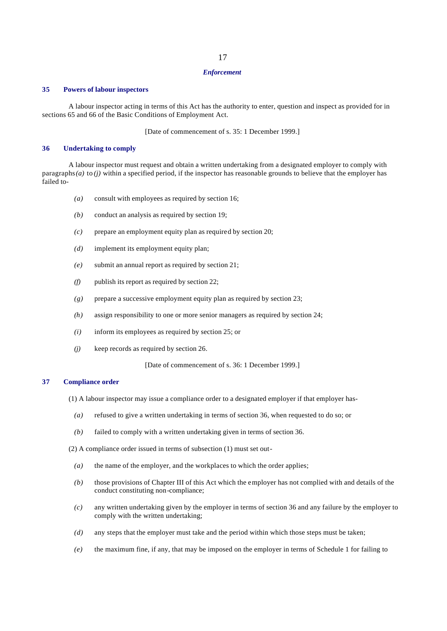#### *Enforcement*

#### **35 Powers of labour inspectors**

A labour inspector acting in terms of this Act has the authority to enter, question and inspect as provided for in sections 65 and 66 of the Basic Conditions of Employment Act.

[Date of commencement of s. 35: 1 December 1999.]

#### **36 Undertaking to comply**

A labour inspector must request and obtain a written undertaking from a designated employer to comply with paragraphs *(a)* to *(j)* within a specified period, if the inspector has reasonable grounds to believe that the employer has failed to-

- *(a)* consult with employees as required by section 16;
- *(b)* conduct an analysis as required by section 19;
- *(c)* prepare an employment equity plan as required by section 20;
- *(d)* implement its employment equity plan;
- *(e)* submit an annual report as required by section 21;
- *(f)* publish its report as required by section 22;
- *(g)* prepare a successive employment equity plan as required by section 23;
- *(h)* assign responsibility to one or more senior managers as required by section 24;
- *(i)* inform its employees as required by section 25; or
- *(j)* keep records as required by section 26.

[Date of commencement of s. 36: 1 December 1999.]

# **37 Compliance order**

- (1) A labour inspector may issue a compliance order to a designated employer if that employer has-
	- *(a)* refused to give a written undertaking in terms of section 36, when requested to do so; or
	- *(b)* failed to comply with a written undertaking given in terms of section 36.

(2) A compliance order issued in terms of subsection (1) must set out-

- *(a)* the name of the employer, and the workplaces to which the order applies;
- *(b)* those provisions of Chapter III of this Act which the employer has not complied with and details of the conduct constituting non-compliance;
- *(c)* any written undertaking given by the employer in terms of section 36 and any failure by the employer to comply with the written undertaking;
- *(d)* any steps that the employer must take and the period within which those steps must be taken;
- *(e)* the maximum fine, if any, that may be imposed on the employer in terms of Schedule 1 for failing to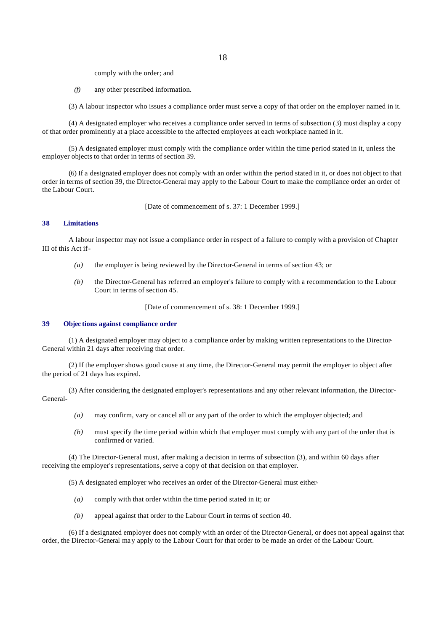comply with the order; and

*(f)* any other prescribed information.

(3) A labour inspector who issues a compliance order must serve a copy of that order on the employer named in it.

(4) A designated employer who receives a compliance order served in terms of subsection (3) must display a copy of that order prominently at a place accessible to the affected employees at each workplace named in it.

(5) A designated employer must comply with the compliance order within the time period stated in it, unless the employer objects to that order in terms of section 39.

(6) If a designated employer does not comply with an order within the period stated in it, or does not object to that order in terms of section 39, the Director-General may apply to the Labour Court to make the compliance order an order of the Labour Court.

[Date of commencement of s. 37: 1 December 1999.]

#### **38 Limitations**

A labour inspector may not issue a compliance order in respect of a failure to comply with a provision of Chapter III of this Act if-

- *(a)* the employer is being reviewed by the Director-General in terms of section 43; or
- *(b)* the Director-General has referred an employer's failure to comply with a recommendation to the Labour Court in terms of section 45.

[Date of commencement of s. 38: 1 December 1999.]

#### **39 Objec tions against compliance order**

(1) A designated employer may object to a compliance order by making written representations to the Director-General within 21 days after receiving that order.

(2) If the employer shows good cause at any time, the Director-General may permit the employer to object after the period of 21 days has expired.

(3) After considering the designated employer's representations and any other relevant information, the Director-General-

- *(a)* may confirm, vary or cancel all or any part of the order to which the employer objected; and
- *(b)* must specify the time period within which that employer must comply with any part of the order that is confirmed or varied.

(4) The Director-General must, after making a decision in terms of subsection (3), and within 60 days after receiving the employer's representations, serve a copy of that decision on that employer.

(5) A designated employer who receives an order of the Director-General must either-

- *(a)* comply with that order within the time period stated in it; or
- *(b)* appeal against that order to the Labour Court in terms of section 40.

(6) If a designated employer does not comply with an order of the Director-General, or does not appeal against that order, the Director-General ma y apply to the Labour Court for that order to be made an order of the Labour Court.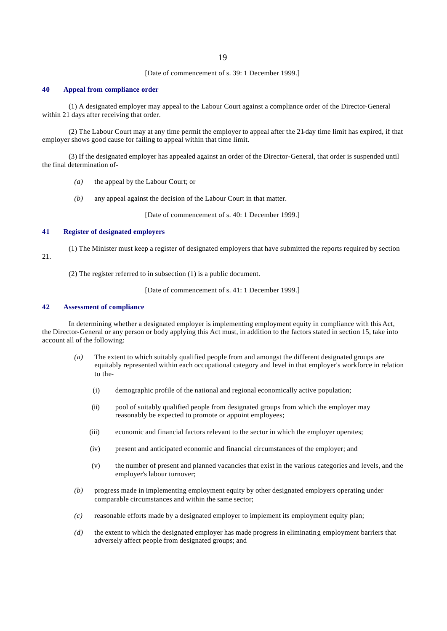[Date of commencement of s. 39: 1 December 1999.]

#### **40 Appeal from compliance order**

(1) A designated employer may appeal to the Labour Court against a compliance order of the Director-General within 21 days after receiving that order.

(2) The Labour Court may at any time permit the employer to appeal after the 21-day time limit has expired, if that employer shows good cause for failing to appeal within that time limit.

(3) If the designated employer has appealed against an order of the Director-General, that order is suspended until the final determination of-

- *(a)* the appeal by the Labour Court; or
- *(b)* any appeal against the decision of the Labour Court in that matter.

[Date of commencement of s. 40: 1 December 1999.]

# **41 Register of designated employers**

- (1) The Minister must keep a register of designated employers that have submitted the reports required by section
- 21.

(2) The register referred to in subsection (1) is a public document.

[Date of commencement of s. 41: 1 December 1999.]

# **42 Assessment of compliance**

In determining whether a designated employer is implementing employment equity in compliance with this Act, the Director-General or any person or body applying this Act must, in addition to the factors stated in section 15, take into account all of the following:

- *(a)* The extent to which suitably qualified people from and amongst the different designated groups are equitably represented within each occupational category and level in that employer's workforce in relation to the-
	- (i) demographic profile of the national and regional economically active population;
	- (ii) pool of suitably qualified people from designated groups from which the employer may reasonably be expected to promote or appoint employees;
	- (iii) economic and financial factors relevant to the sector in which the employer operates;
	- (iv) present and anticipated economic and financial circumstances of the employer; and
	- (v) the number of present and planned vacancies that exist in the various categories and levels, and the employer's labour turnover;
- *(b)* progress made in implementing employment equity by other designated employers operating under comparable circumstances and within the same sector;
- *(c)* reasonable efforts made by a designated employer to implement its employment equity plan;
- *(d)* the extent to which the designated employer has made progress in eliminating employment barriers that adversely affect people from designated groups; and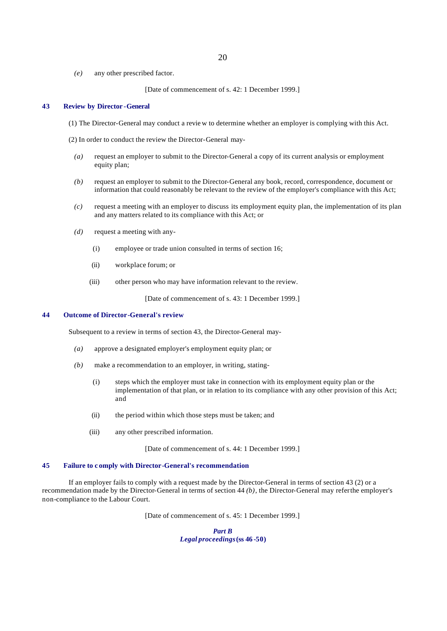*(e)* any other prescribed factor.

[Date of commencement of s. 42: 1 December 1999.]

#### **43 Review by Director -General**

- (1) The Director-General may conduct a revie w to determine whether an employer is complying with this Act.
- (2) In order to conduct the review the Director-General may-
	- *(a)* request an employer to submit to the Director-General a copy of its current analysis or employment equity plan;
	- *(b)* request an employer to submit to the Director-General any book, record, correspondence, document or information that could reasonably be relevant to the review of the employer's compliance with this Act;
	- *(c)* request a meeting with an employer to discuss its employment equity plan, the implementation of its plan and any matters related to its compliance with this Act; or
	- *(d)* request a meeting with any-
		- (i) employee or trade union consulted in terms of section 16;
		- (ii) workplace forum; or
		- (iii) other person who may have information relevant to the review.

[Date of commencement of s. 43: 1 December 1999.]

#### **44 Outcome of Director-General's review**

Subsequent to a review in terms of section 43, the Director-General may-

- *(a)* approve a designated employer's employment equity plan; or
- *(b)* make a recommendation to an employer, in writing, stating-
	- (i) steps which the employer must take in connection with its employment equity plan or the implementation of that plan, or in relation to its compliance with any other provision of this Act; and
	- (ii) the period within which those steps must be taken; and
	- (iii) any other prescribed information.

[Date of commencement of s. 44: 1 December 1999.]

# **45 Failure to c omply with Director-General's recommendation**

If an employer fails to comply with a request made by the Director-General in terms of section 43 (2) or a recommendation made by the Director-General in terms of section 44 *(b)*, the Director-General may refer the employer's non-compliance to the Labour Court.

[Date of commencement of s. 45: 1 December 1999.]

*Part B Legal proceedings* **(ss 46 -50)**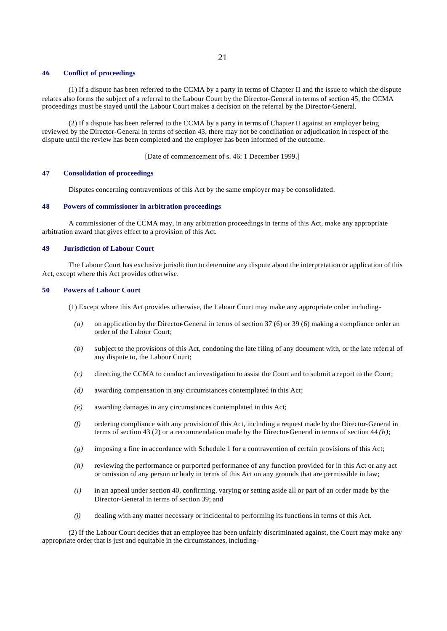#### **46 Conflict of proceedings**

(1) If a dispute has been referred to the CCMA by a party in terms of Chapter II and the issue to which the dispute relates also forms the subject of a referral to the Labour Court by the Director-General in terms of section 45, the CCMA proceedings must be stayed until the Labour Court makes a decision on the referral by the Director-General.

(2) If a dispute has been referred to the CCMA by a party in terms of Chapter II against an employer being reviewed by the Director-General in terms of section 43, there may not be conciliation or adjudication in respect of the dispute until the review has been completed and the employer has been informed of the outcome.

[Date of commencement of s. 46: 1 December 1999.]

#### **47 Consolidation of proceedings**

Disputes concerning contraventions of this Act by the same employer may be consolidated.

# **48 Powers of commissioner in arbitration proceedings**

A commissioner of the CCMA may, in any arbitration proceedings in terms of this Act, make any appropriate arbitration award that gives effect to a provision of this Act.

#### **49 Jurisdiction of Labour Court**

The Labour Court has exclusive jurisdiction to determine any dispute about the interpretation or application of this Act, except where this Act provides otherwise.

#### **50 Powers of Labour Court**

- (1) Except where this Act provides otherwise, the Labour Court may make any appropriate order including-
	- *(a)* on application by the Director-General in terms of section 37 (6) or 39 (6) making a compliance order an order of the Labour Court;
	- *(b)* subject to the provisions of this Act, condoning the late filing of any document with, or the late referral of any dispute to, the Labour Court;
	- *(c)* directing the CCMA to conduct an investigation to assist the Court and to submit a report to the Court;
	- *(d)* awarding compensation in any circumstances contemplated in this Act;
	- *(e)* awarding damages in any circumstances contemplated in this Act;
	- *(f)* ordering compliance with any provision of this Act, including a request made by the Director-General in terms of section 43 (2) or a recommendation made by the Director-General in terms of section 44 *(b)*;
- *(g)* imposing a fine in accordance with Schedule 1 for a contravention of certain provisions of this Act;
- *(h)* reviewing the performance or purported performance of any function provided for in this Act or any act or omission of any person or body in terms of this Act on any grounds that are permissible in law;
- *(i)* in an appeal under section 40, confirming, varying or setting aside all or part of an order made by the Director-General in terms of section 39; and
- *(j)* dealing with any matter necessary or incidental to performing its functions in terms of this Act.

(2) If the Labour Court decides that an employee has been unfairly discriminated against, the Court may make any appropriate order that is just and equitable in the circumstances, including-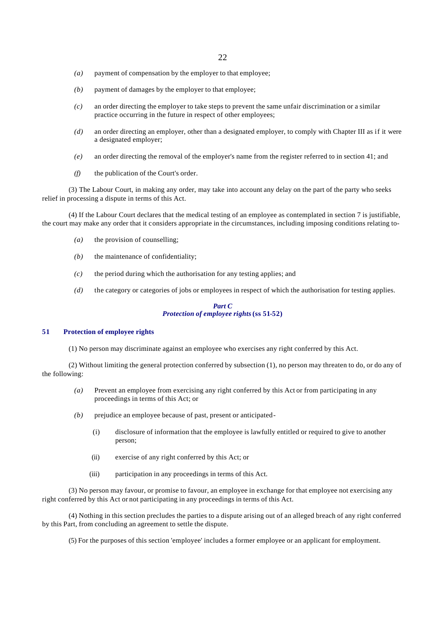- *(a)* payment of compensation by the employer to that employee;
- *(b)* payment of damages by the employer to that employee;
- *(c)* an order directing the employer to take steps to prevent the same unfair discrimination or a similar practice occurring in the future in respect of other employees;
- *(d)* an order directing an employer, other than a designated employer, to comply with Chapter III as if it were a designated employer;
- *(e)* an order directing the removal of the employer's name from the register referred to in section 41; and
- *(f)* the publication of the Court's order.

(3) The Labour Court, in making any order, may take into account any delay on the part of the party who seeks relief in processing a dispute in terms of this Act.

(4) If the Labour Court declares that the medical testing of an employee as contemplated in section 7 is justifiable, the court may make any order that it considers appropriate in the circumstances, including imposing conditions relating to-

- *(a)* the provision of counselling;
- *(b)* the maintenance of confidentiality;
- *(c)* the period during which the authorisation for any testing applies; and
- *(d)* the category or categories of jobs or employees in respect of which the authorisation for testing applies.

# *Part C Protection of employee rights* **(ss 51-52)**

# **51 Protection of employee rights**

(1) No person may discriminate against an employee who exercises any right conferred by this Act.

(2) Without limiting the general protection conferred by subsection (1), no person may threaten to do, or do any of the following:

- *(a)* Prevent an employee from exercising any right conferred by this Act or from participating in any proceedings in terms of this Act; or
- *(b)* prejudice an employee because of past, present or anticipated-
	- (i) disclosure of information that the employee is lawfully entitled or required to give to another person;
	- (ii) exercise of any right conferred by this Act; or
	- (iii) participation in any proceedings in terms of this Act.

(3) No person may favour, or promise to favour, an employee in exchange for that employee not exercising any right conferred by this Act or not participating in any proceedings in terms of this Act.

(4) Nothing in this section precludes the parties to a dispute arising out of an alleged breach of any right conferred by this Part, from concluding an agreement to settle the dispute.

(5) For the purposes of this section 'employee' includes a former employee or an applicant for employment.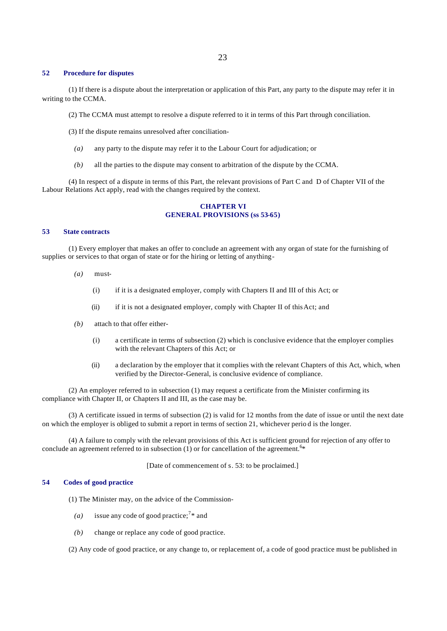# **52 Procedure for disputes**

(1) If there is a dispute about the interpretation or application of this Part, any party to the dispute may refer it in writing to the CCMA.

- (2) The CCMA must attempt to resolve a dispute referred to it in terms of this Part through conciliation.
- (3) If the dispute remains unresolved after conciliation-
	- *(a)* any party to the dispute may refer it to the Labour Court for adjudication; or
- *(b)* all the parties to the dispute may consent to arbitration of the dispute by the CCMA.

(4) In respect of a dispute in terms of this Part, the relevant provisions of Part C and D of Chapter VII of the Labour Relations Act apply, read with the changes required by the context.

# **CHAPTER VI GENERAL PROVISIONS (ss 53-65)**

#### **53 State contracts**

(1) Every employer that makes an offer to conclude an agreement with any organ of state for the furnishing of supplies or services to that organ of state or for the hiring or letting of anything-

- *(a)* must-
	- (i) if it is a designated employer, comply with Chapters II and III of this Act; or
	- (ii) if it is not a designated employer, comply with Chapter II of this Act; and
- *(b)* attach to that offer either-
	- (i) a certificate in terms of subsection (2) which is conclusive evidence that the employer complies with the relevant Chapters of this Act; or
	- (ii) a declaration by the employer that it complies with the relevant Chapters of this Act, which, when verified by the Director-General, is conclusive evidence of compliance.

(2) An employer referred to in subsection (1) may request a certificate from the Minister confirming its compliance with Chapter II, or Chapters II and III, as the case may be.

(3) A certificate issued in terms of subsection (2) is valid for 12 months from the date of issue or until the next date on which the employer is obliged to submit a report in terms of section 21, whichever perio d is the longer.

(4) A failure to comply with the relevant provisions of this Act is sufficient ground for rejection of any offer to conclude an agreement referred to in subsection  $(1)$  or for cancellation of the agreement.<sup>6\*</sup>

[Date of commencement of s. 53: to be proclaimed.]

#### **54 Codes of good practice**

(1) The Minister may, on the advice of the Commission-

- (*a*) issue any code of good practice;<sup>7\*</sup> and
- *(b)* change or replace any code of good practice.

(2) Any code of good practice, or any change to, or replacement of, a code of good practice must be published in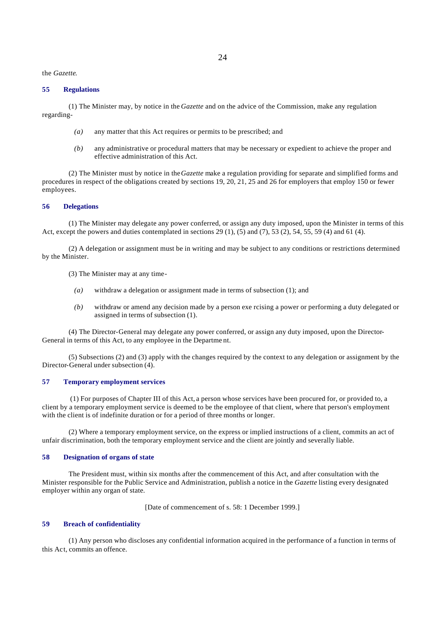the *Gazette*.

#### **55 Regulations**

(1) The Minister may, by notice in the *Gazette* and on the advice of the Commission, make any regulation regarding-

- *(a)* any matter that this Act requires or permits to be prescribed; and
- *(b)* any administrative or procedural matters that may be necessary or expedient to achieve the proper and effective administration of this Act.

(2) The Minister must by notice in the *Gazette* make a regulation providing for separate and simplified forms and procedures in respect of the obligations created by sections 19, 20, 21, 25 and 26 for employers that employ 150 or fewer employees.

#### **56 Delegations**

(1) The Minister may delegate any power conferred, or assign any duty imposed, upon the Minister in terms of this Act, except the powers and duties contemplated in sections 29 (1), (5) and (7), 53 (2), 54, 55, 59 (4) and 61 (4).

(2) A delegation or assignment must be in writing and may be subject to any conditions or restrictions determined by the Minister.

(3) The Minister may at any time-

- *(a)* withdraw a delegation or assignment made in terms of subsection (1); and
- *(b)* withdraw or amend any decision made by a person exe rcising a power or performing a duty delegated or assigned in terms of subsection (1).

(4) The Director-General may delegate any power conferred, or assign any duty imposed, upon the Director-General in terms of this Act, to any employee in the Departme nt.

(5) Subsections (2) and (3) apply with the changes required by the context to any delegation or assignment by the Director-General under subsection (4).

#### **57 Temporary employment services**

 (1) For purposes of Chapter III of this Act, a person whose services have been procured for, or provided to, a client by a temporary employment service is deemed to be the employee of that client, where that person's employment with the client is of indefinite duration or for a period of three months or longer.

(2) Where a temporary employment service, on the express or implied instructions of a client, commits an act of unfair discrimination, both the temporary employment service and the client are jointly and severally liable.

#### **58 Designation of organs of state**

The President must, within six months after the commencement of this Act, and after consultation with the Minister responsible for the Public Service and Administration, publish a notice in the *Gazette* listing every designated employer within any organ of state.

[Date of commencement of s. 58: 1 December 1999.]

# **59 Breach of confidentiality**

(1) Any person who discloses any confidential information acquired in the performance of a function in terms of this Act, commits an offence.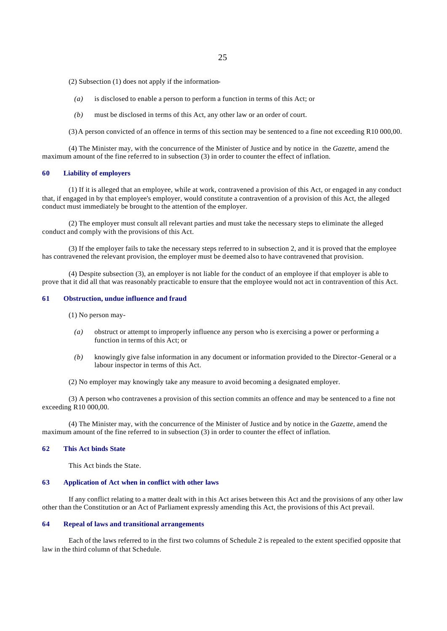(2) Subsection (1) does not apply if the information-

- *(a)* is disclosed to enable a person to perform a function in terms of this Act; or
- *(b)* must be disclosed in terms of this Act, any other law or an order of court.

(3) A person convicted of an offence in terms of this section may be sentenced to a fine not exceeding R10 000,00.

(4) The Minister may, with the concurrence of the Minister of Justice and by notice in the *Gazette,* amend the maximum amount of the fine referred to in subsection (3) in order to counter the effect of inflation.

#### **60 Liability of employers**

(1) If it is alleged that an employee, while at work, contravened a provision of this Act, or engaged in any conduct that, if engaged in by that employee's employer, would constitute a contravention of a provision of this Act, the alleged conduct must immediately be brought to the attention of the employer.

(2) The employer must consult all relevant parties and must take the necessary steps to eliminate the alleged conduct and comply with the provisions of this Act.

(3) If the employer fails to take the necessary steps referred to in subsection 2, and it is proved that the employee has contravened the relevant provision, the employer must be deemed also to have contravened that provision.

(4) Despite subsection (3), an employer is not liable for the conduct of an employee if that employer is able to prove that it did all that was reasonably practicable to ensure that the employee would not act in contravention of this Act.

#### **61 Obstruction, undue influence and fraud**

(1) No person may-

- *(a)* obstruct or attempt to improperly influence any person who is exercising a power or performing a function in terms of this Act; or
- *(b)* knowingly give false information in any document or information provided to the Director-General or a labour inspector in terms of this Act.
- (2) No employer may knowingly take any measure to avoid becoming a designated employer.

(3) A person who contravenes a provision of this section commits an offence and may be sentenced to a fine not exceeding R10 000,00.

(4) The Minister may, with the concurrence of the Minister of Justice and by notice in the *Gazette*, amend the maximum amount of the fine referred to in subsection (3) in order to counter the effect of inflation.

#### **62 This Act binds State**

This Act binds the State.

#### **63 Application of Act when in conflict with other laws**

If any conflict relating to a matter dealt with in this Act arises between this Act and the provisions of any other law other than the Constitution or an Act of Parliament expressly amending this Act, the provisions of this Act prevail.

# **64 Repeal of laws and transitional arrangements**

Each of the laws referred to in the first two columns of Schedule 2 is repealed to the extent specified opposite that law in the third column of that Schedule.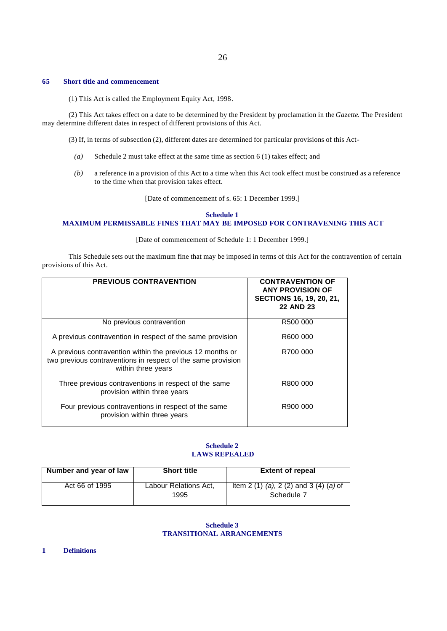#### **65 Short title and commencement**

(1) This Act is called the Employment Equity Act, 1998.

(2) This Act takes effect on a date to be determined by the President by proclamation in the *Gazette*. The President may determine different dates in respect of different provisions of this Act.

(3) If, in terms of subsection (2), different dates are determined for particular provisions of this Act-

- *(a)* Schedule 2 must take effect at the same time as section 6 (1) takes effect; and
- *(b)* a reference in a provision of this Act to a time when this Act took effect must be construed as a reference to the time when that provision takes effect.

[Date of commencement of s. 65: 1 December 1999.]

#### **Schedule 1**

# **MAXIMUM PERMISSABLE FINES THAT MAY BE IMPOSED FOR CONTRAVENING THIS ACT**

#### [Date of commencement of Schedule 1: 1 December 1999.]

This Schedule sets out the maximum fine that may be imposed in terms of this Act for the contravention of certain provisions of this Act.

| <b>PREVIOUS CONTRAVENTION</b>                                                                                                                   | <b>CONTRAVENTION OF</b><br><b>ANY PROVISION OF</b><br>SECTIONS 16, 19, 20, 21,<br><b>22 AND 23</b> |
|-------------------------------------------------------------------------------------------------------------------------------------------------|----------------------------------------------------------------------------------------------------|
| No previous contravention                                                                                                                       | R500 000                                                                                           |
| A previous contravention in respect of the same provision                                                                                       | R600 000                                                                                           |
| A previous contravention within the previous 12 months or<br>two previous contraventions in respect of the same provision<br>within three years | R700 000                                                                                           |
| Three previous contraventions in respect of the same<br>provision within three years                                                            | R800 000                                                                                           |
| Four previous contraventions in respect of the same<br>provision within three years                                                             | R900 000                                                                                           |

# **Schedule 2 LAWS REPEALED**

| Number and year of law | <b>Short title</b>            | <b>Extent of repeal</b>                              |
|------------------------|-------------------------------|------------------------------------------------------|
| Act 66 of 1995         | Labour Relations Act,<br>1995 | Item 2 (1) (a), 2 (2) and 3 (4) (a) of<br>Schedule 7 |

# **Schedule 3 TRANSITIONAL ARRANGEMENTS**

**1 Definitions**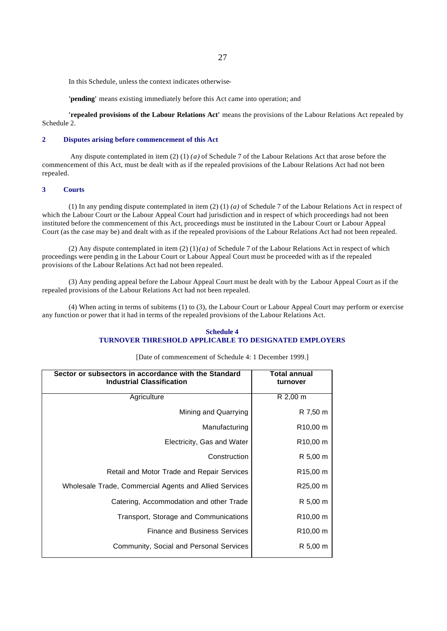In this Schedule, unless the context indicates otherwise-

**'pending'** means existing immediately before this Act came into operation; and

**'repealed provisions of the Labour Relations Act'** means the provisions of the Labour Relations Act repealed by Schedule 2.

# **2 Disputes arising before commencement of this Act**

 Any dispute contemplated in item (2) (1) *(a)* of Schedule 7 of the Labour Relations Act that arose before the commencement of this Act, must be dealt with as if the repealed provisions of the Labour Relations Act had not been repealed.

## **3 Courts**

(1) In any pending dispute contemplated in item (2) (1) *(a)* of Schedule 7 of the Labour Relations Act in respect of which the Labour Court or the Labour Appeal Court had jurisdiction and in respect of which proceedings had not been instituted before the commencement of this Act, proceedings must be instituted in the Labour Court or Labour Appeal Court (as the case may be) and dealt with as if the repealed provisions of the Labour Relations Act had not been repealed.

(2) Any dispute contemplated in item  $(2)(1)(a)$  of Schedule 7 of the Labour Relations Act in respect of which proceedings were pendin g in the Labour Court or Labour Appeal Court must be proceeded with as if the repealed provisions of the Labour Relations Act had not been repealed.

(3) Any pending appeal before the Labour Appeal Court must be dealt with by the Labour Appeal Court as if the repealed provisions of the Labour Relations Act had not been repealed.

(4) When acting in terms of subitems (1) to (3), the Labour Court or Labour Appeal Court may perform or exercise any function or power that it had in terms of the repealed provisions of the Labour Relations Act.

# **Schedule 4 TURNOVER THRESHOLD APPLICABLE TO DESIGNATED EMPLOYERS**

| [Date of commencement of Schedule 4: 1 December 1999.] |  |  |  |
|--------------------------------------------------------|--|--|--|
|--------------------------------------------------------|--|--|--|

| Sector or subsectors in accordance with the Standard<br><b>Industrial Classification</b> | <b>Total annual</b><br>turnover |  |
|------------------------------------------------------------------------------------------|---------------------------------|--|
| Agriculture                                                                              | R 2,00 m                        |  |
| Mining and Quarrying                                                                     | R 7,50 m                        |  |
| Manufacturing                                                                            | R <sub>10</sub> ,00 m           |  |
| Electricity, Gas and Water                                                               | R <sub>10</sub> ,00 m           |  |
| Construction                                                                             | R 5,00 m                        |  |
| Retail and Motor Trade and Repair Services                                               | R <sub>15</sub> ,00 m           |  |
| Wholesale Trade, Commercial Agents and Allied Services                                   | R25,00 m                        |  |
| Catering, Accommodation and other Trade                                                  | R 5,00 m                        |  |
| Transport, Storage and Communications                                                    | R <sub>10</sub> ,00 m           |  |
| <b>Finance and Business Services</b>                                                     | R <sub>10</sub> ,00 m           |  |
| Community, Social and Personal Services                                                  | R 5,00 m                        |  |